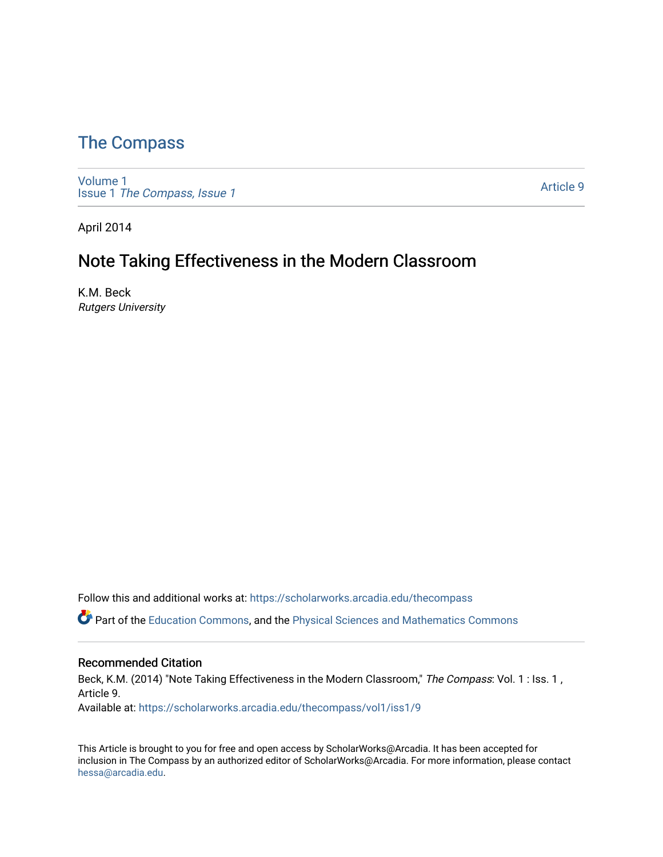## [The Compass](https://scholarworks.arcadia.edu/thecompass)

[Volume 1](https://scholarworks.arcadia.edu/thecompass/vol1) Issue 1 [The Compass, Issue 1](https://scholarworks.arcadia.edu/thecompass/vol1/iss1) 

[Article 9](https://scholarworks.arcadia.edu/thecompass/vol1/iss1/9) 

April 2014

# Note Taking Effectiveness in the Modern Classroom

K.M. Beck Rutgers University

Follow this and additional works at: [https://scholarworks.arcadia.edu/thecompass](https://scholarworks.arcadia.edu/thecompass?utm_source=scholarworks.arcadia.edu%2Fthecompass%2Fvol1%2Fiss1%2F9&utm_medium=PDF&utm_campaign=PDFCoverPages) 

**C** Part of the [Education Commons](http://network.bepress.com/hgg/discipline/784?utm_source=scholarworks.arcadia.edu%2Fthecompass%2Fvol1%2Fiss1%2F9&utm_medium=PDF&utm_campaign=PDFCoverPages), and the Physical Sciences and Mathematics Commons

#### Recommended Citation

Beck, K.M. (2014) "Note Taking Effectiveness in the Modern Classroom," The Compass: Vol. 1 : Iss. 1, Article 9.

Available at: [https://scholarworks.arcadia.edu/thecompass/vol1/iss1/9](https://scholarworks.arcadia.edu/thecompass/vol1/iss1/9?utm_source=scholarworks.arcadia.edu%2Fthecompass%2Fvol1%2Fiss1%2F9&utm_medium=PDF&utm_campaign=PDFCoverPages)

This Article is brought to you for free and open access by ScholarWorks@Arcadia. It has been accepted for inclusion in The Compass by an authorized editor of ScholarWorks@Arcadia. For more information, please contact [hessa@arcadia.edu.](mailto:hessa@arcadia.edu)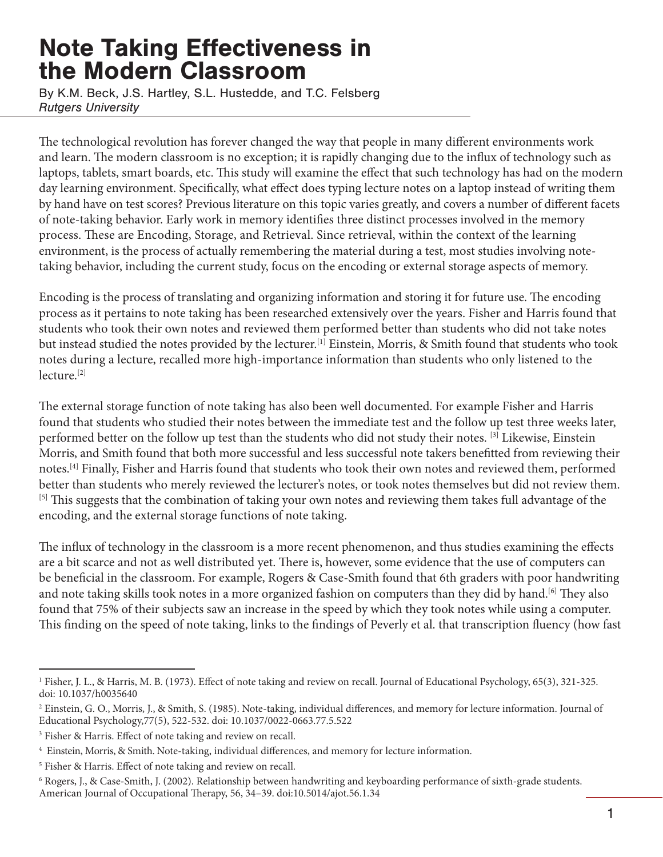# Note Taking Effectiveness in the Modern Classroom

By K.M. Beck, J.S. Hartley, S.L. Hustedde, and T.C. Felsberg *Rutgers University*

The technological revolution has forever changed the way that people in many different environments work and learn. The modern classroom is no exception; it is rapidly changing due to the influx of technology such as laptops, tablets, smart boards, etc. This study will examine the effect that such technology has had on the modern day learning environment. Specifically, what effect does typing lecture notes on a laptop instead of writing them by hand have on test scores? Previous literature on this topic varies greatly, and covers a number of different facets of note-taking behavior. Early work in memory identifies three distinct processes involved in the memory process. These are Encoding, Storage, and Retrieval. Since retrieval, within the context of the learning environment, is the process of actually remembering the material during a test, most studies involving notetaking behavior, including the current study, focus on the encoding or external storage aspects of memory.

Encoding is the process of translating and organizing information and storing it for future use. The encoding process as it pertains to note taking has been researched extensively over the years. Fisher and Harris found that students who took their own notes and reviewed them performed better than students who did not take notes but instead studied the notes provided by the lecturer.<sup>[1]</sup> Einstein, Morris, & Smith found that students who took notes during a lecture, recalled more high-importance information than students who only listened to the lecture.[2]

The external storage function of note taking has also been well documented. For example Fisher and Harris found that students who studied their notes between the immediate test and the follow up test three weeks later, performed better on the follow up test than the students who did not study their notes. [3] Likewise, Einstein Morris, and Smith found that both more successful and less successful note takers benefitted from reviewing their notes.[4] Finally, Fisher and Harris found that students who took their own notes and reviewed them, performed better than students who merely reviewed the lecturer's notes, or took notes themselves but did not review them. [5] This suggests that the combination of taking your own notes and reviewing them takes full advantage of the encoding, and the external storage functions of note taking.

The influx of technology in the classroom is a more recent phenomenon, and thus studies examining the effects are a bit scarce and not as well distributed yet. There is, however, some evidence that the use of computers can be beneficial in the classroom. For example, Rogers & Case-Smith found that 6th graders with poor handwriting and note taking skills took notes in a more organized fashion on computers than they did by hand.<sup>[6]</sup> They also found that 75% of their subjects saw an increase in the speed by which they took notes while using a computer. This finding on the speed of note taking, links to the findings of Peverly et al. that transcription fluency (how fast

<sup>1</sup> Fisher, J. L., & Harris, M. B. (1973). Effect of note taking and review on recall. Journal of Educational Psychology, 65(3), 321-325. doi: 10.1037/h0035640

 $^2$  Einstein, G. O., Morris, J., & Smith, S. (1985). Note-taking, individual differences, and memory for lecture information. Journal of Educational Psychology,77(5), 522-532. doi: 10.1037/0022-0663.77.5.522

<sup>3</sup> Fisher & Harris. Effect of note taking and review on recall.

<sup>4</sup> Einstein, Morris, & Smith. Note-taking, individual differences, and memory for lecture information.

<sup>5</sup> Fisher & Harris. Effect of note taking and review on recall.

<sup>6</sup> Rogers, J., & Case-Smith, J. (2002). Relationship between handwriting and keyboarding performance of sixth-grade students. American Journal of Occupational Therapy, 56, 34–39. doi:10.5014/ajot.56.1.34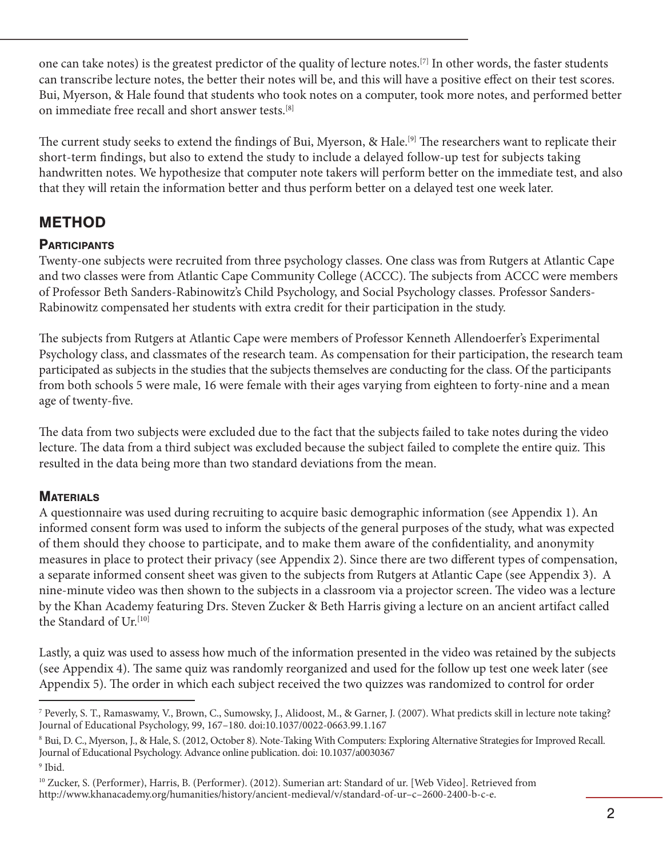one can take notes) is the greatest predictor of the quality of lecture notes.[7] In other words, the faster students can transcribe lecture notes, the better their notes will be, and this will have a positive effect on their test scores. Bui, Myerson, & Hale found that students who took notes on a computer, took more notes, and performed better on immediate free recall and short answer tests.[8]

The current study seeks to extend the findings of Bui, Myerson, & Hale.<sup>[9]</sup> The researchers want to replicate their short-term findings, but also to extend the study to include a delayed follow-up test for subjects taking handwritten notes. We hypothesize that computer note takers will perform better on the immediate test, and also that they will retain the information better and thus perform better on a delayed test one week later.

## METHOD

### **PARTICIPANTS**

Twenty-one subjects were recruited from three psychology classes. One class was from Rutgers at Atlantic Cape and two classes were from Atlantic Cape Community College (ACCC). The subjects from ACCC were members of Professor Beth Sanders-Rabinowitz's Child Psychology, and Social Psychology classes. Professor Sanders-Rabinowitz compensated her students with extra credit for their participation in the study.

The subjects from Rutgers at Atlantic Cape were members of Professor Kenneth Allendoerfer's Experimental Psychology class, and classmates of the research team. As compensation for their participation, the research team participated as subjects in the studies that the subjects themselves are conducting for the class. Of the participants from both schools 5 were male, 16 were female with their ages varying from eighteen to forty-nine and a mean age of twenty-five.

The data from two subjects were excluded due to the fact that the subjects failed to take notes during the video lecture. The data from a third subject was excluded because the subject failed to complete the entire quiz. This resulted in the data being more than two standard deviations from the mean.

### **MATERIALS**

A questionnaire was used during recruiting to acquire basic demographic information (see Appendix 1). An informed consent form was used to inform the subjects of the general purposes of the study, what was expected of them should they choose to participate, and to make them aware of the confidentiality, and anonymity measures in place to protect their privacy (see Appendix 2). Since there are two different types of compensation, a separate informed consent sheet was given to the subjects from Rutgers at Atlantic Cape (see Appendix 3). A nine-minute video was then shown to the subjects in a classroom via a projector screen. The video was a lecture by the Khan Academy featuring Drs. Steven Zucker & Beth Harris giving a lecture on an ancient artifact called the Standard of Ur.<sup>[10]</sup>

Lastly, a quiz was used to assess how much of the information presented in the video was retained by the subjects (see Appendix 4). The same quiz was randomly reorganized and used for the follow up test one week later (see Appendix 5). The order in which each subject received the two quizzes was randomized to control for order

<sup>7</sup> Peverly, S. T., Ramaswamy, V., Brown, C., Sumowsky, J., Alidoost, M., & Garner, J. (2007). What predicts skill in lecture note taking? Journal of Educational Psychology, 99, 167–180. doi:10.1037/0022-0663.99.1.167

<sup>8</sup> Bui, D. C., Myerson, J., & Hale, S. (2012, October 8). Note-Taking With Computers: Exploring Alternative Strategies for Improved Recall. Journal of Educational Psychology. Advance online publication. doi: 10.1037/a0030367

<sup>9</sup> Ibid.

<sup>10</sup> Zucker, S. (Performer), Harris, B. (Performer). (2012). Sumerian art: Standard of ur. [Web Video]. Retrieved from http://www.khanacademy.org/humanities/history/ancient-medieval/v/standard-of-ur–c–2600-2400-b-c-e.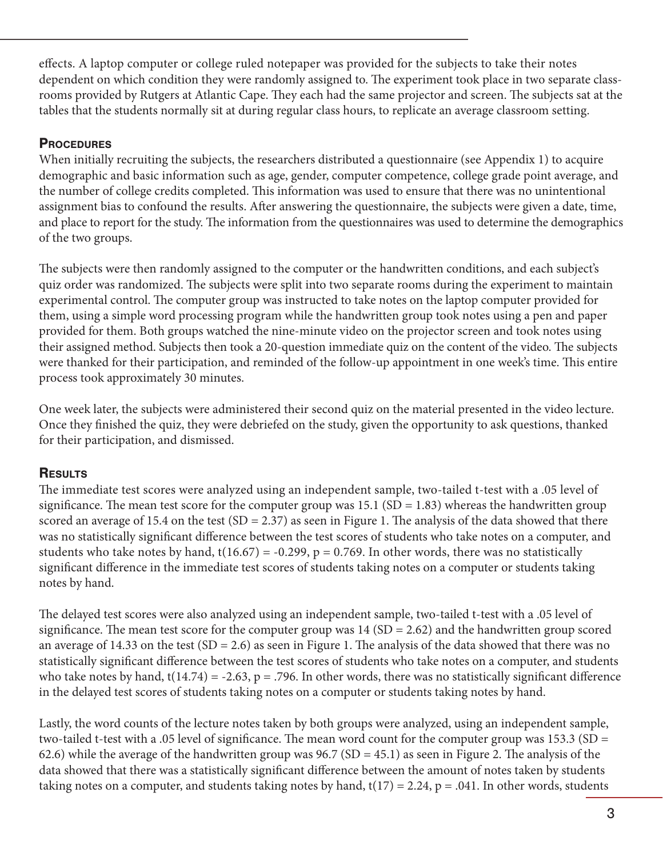effects. A laptop computer or college ruled notepaper was provided for the subjects to take their notes dependent on which condition they were randomly assigned to. The experiment took place in two separate classrooms provided by Rutgers at Atlantic Cape. They each had the same projector and screen. The subjects sat at the tables that the students normally sit at during regular class hours, to replicate an average classroom setting.

#### **PROCEDURES**

When initially recruiting the subjects, the researchers distributed a questionnaire (see Appendix 1) to acquire demographic and basic information such as age, gender, computer competence, college grade point average, and the number of college credits completed. This information was used to ensure that there was no unintentional assignment bias to confound the results. After answering the questionnaire, the subjects were given a date, time, and place to report for the study. The information from the questionnaires was used to determine the demographics of the two groups.

The subjects were then randomly assigned to the computer or the handwritten conditions, and each subject's quiz order was randomized. The subjects were split into two separate rooms during the experiment to maintain experimental control. The computer group was instructed to take notes on the laptop computer provided for them, using a simple word processing program while the handwritten group took notes using a pen and paper provided for them. Both groups watched the nine-minute video on the projector screen and took notes using their assigned method. Subjects then took a 20-question immediate quiz on the content of the video. The subjects were thanked for their participation, and reminded of the follow-up appointment in one week's time. This entire process took approximately 30 minutes.

One week later, the subjects were administered their second quiz on the material presented in the video lecture. Once they finished the quiz, they were debriefed on the study, given the opportunity to ask questions, thanked for their participation, and dismissed.

### **RESULTS**

The immediate test scores were analyzed using an independent sample, two-tailed t-test with a .05 level of significance. The mean test score for the computer group was  $15.1$  (SD = 1.83) whereas the handwritten group scored an average of 15.4 on the test  $(SD = 2.37)$  as seen in Figure 1. The analysis of the data showed that there was no statistically significant difference between the test scores of students who take notes on a computer, and students who take notes by hand,  $t(16.67) = -0.299$ ,  $p = 0.769$ . In other words, there was no statistically significant difference in the immediate test scores of students taking notes on a computer or students taking notes by hand.

The delayed test scores were also analyzed using an independent sample, two-tailed t-test with a .05 level of significance. The mean test score for the computer group was  $14 (SD = 2.62)$  and the handwritten group scored an average of 14.33 on the test  $(SD = 2.6)$  as seen in Figure 1. The analysis of the data showed that there was no statistically significant difference between the test scores of students who take notes on a computer, and students who take notes by hand,  $t(14.74) = -2.63$ , p = .796. In other words, there was no statistically significant difference in the delayed test scores of students taking notes on a computer or students taking notes by hand.

Lastly, the word counts of the lecture notes taken by both groups were analyzed, using an independent sample, two-tailed t-test with a .05 level of significance. The mean word count for the computer group was 153.3 (SD = 62.6) while the average of the handwritten group was  $96.7$  (SD = 45.1) as seen in Figure 2. The analysis of the data showed that there was a statistically significant difference between the amount of notes taken by students taking notes on a computer, and students taking notes by hand,  $t(17) = 2.24$ ,  $p = .041$ . In other words, students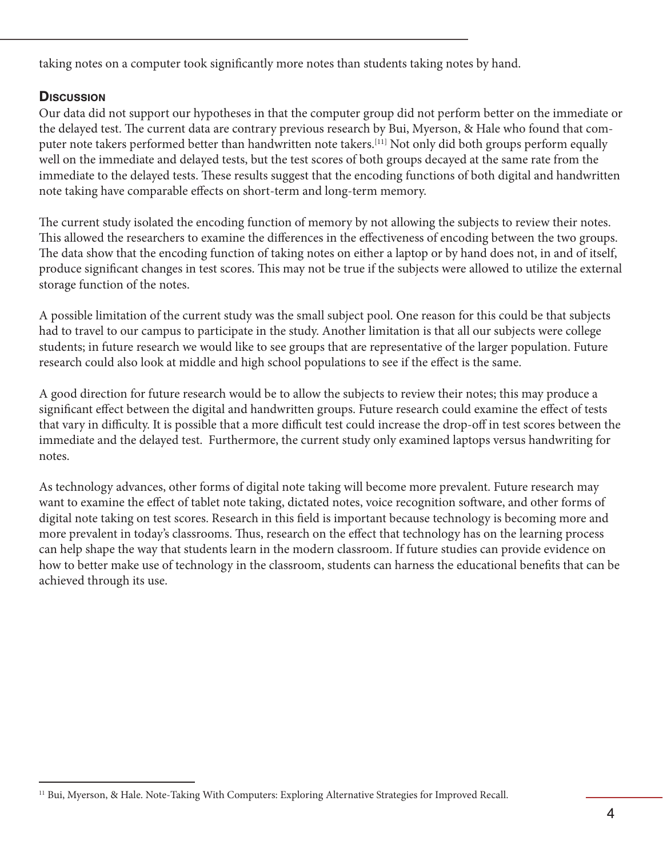taking notes on a computer took significantly more notes than students taking notes by hand.

## **Discussion**

Our data did not support our hypotheses in that the computer group did not perform better on the immediate or the delayed test. The current data are contrary previous research by Bui, Myerson, & Hale who found that computer note takers performed better than handwritten note takers.[11] Not only did both groups perform equally well on the immediate and delayed tests, but the test scores of both groups decayed at the same rate from the immediate to the delayed tests. These results suggest that the encoding functions of both digital and handwritten note taking have comparable effects on short-term and long-term memory.

The current study isolated the encoding function of memory by not allowing the subjects to review their notes. This allowed the researchers to examine the differences in the effectiveness of encoding between the two groups. The data show that the encoding function of taking notes on either a laptop or by hand does not, in and of itself, produce significant changes in test scores. This may not be true if the subjects were allowed to utilize the external storage function of the notes.

A possible limitation of the current study was the small subject pool. One reason for this could be that subjects had to travel to our campus to participate in the study. Another limitation is that all our subjects were college students; in future research we would like to see groups that are representative of the larger population. Future research could also look at middle and high school populations to see if the effect is the same.

A good direction for future research would be to allow the subjects to review their notes; this may produce a significant effect between the digital and handwritten groups. Future research could examine the effect of tests that vary in difficulty. It is possible that a more difficult test could increase the drop-off in test scores between the immediate and the delayed test. Furthermore, the current study only examined laptops versus handwriting for notes.

As technology advances, other forms of digital note taking will become more prevalent. Future research may want to examine the effect of tablet note taking, dictated notes, voice recognition software, and other forms of digital note taking on test scores. Research in this field is important because technology is becoming more and more prevalent in today's classrooms. Thus, research on the effect that technology has on the learning process can help shape the way that students learn in the modern classroom. If future studies can provide evidence on how to better make use of technology in the classroom, students can harness the educational benefits that can be achieved through its use.

<sup>11</sup> Bui, Myerson, & Hale. Note-Taking With Computers: Exploring Alternative Strategies for Improved Recall.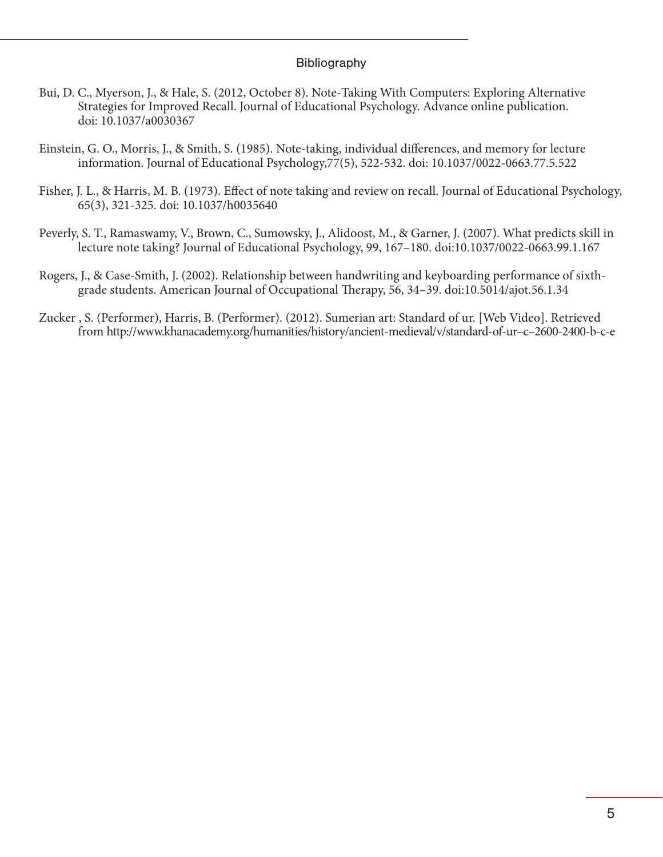#### Bibliography

- Bui, D. C., Myerson, J., & Hale, S. (2012, October 8). Note-Taking With Computers: Exploring Alternative Strategies for Improved Recall. Journal of Educational Psychology. Advance online publication. doi: 10.1037/a0030367
- Einstein, G. O., Morris, J., & Smith, S. (1985). Note-taking, individual differences, and memory for lecture information. Journal of Educational Psychology,77(5), 522-532. doi: 10.1037/0022-0663.77.5.522
- Fisher, J. L., & Harris, M. B. (1973). Effect of note taking and review on recall. Journal of Educational Psychology, 65(3), 321-325. doi: 10.1037/h0035640
- Peverly, S. T., Ramaswamy, V., Brown, C., Sumowsky, J., Alidoost, M., & Garner, J. (2007). What predicts skill in lecture note taking? Journal of Educational Psychology, 99, 167–180. doi:10.1037/0022-0663.99.1.167
- Rogers, J., & Case-Smith, J. (2002). Relationship between handwriting and keyboarding performance of sixthgrade students. American Journal of Occupational Therapy, 56, 34–39. doi:10.5014/ajot.56.1.34
- Zucker , S. (Performer), Harris, B. (Performer). (2012). Sumerian art: Standard of ur. [Web Video]. Retrieved from http://www.khanacademy.org/humanities/history/ancient-medieval/v/standard-of-ur–c–2600-2400-b-c-e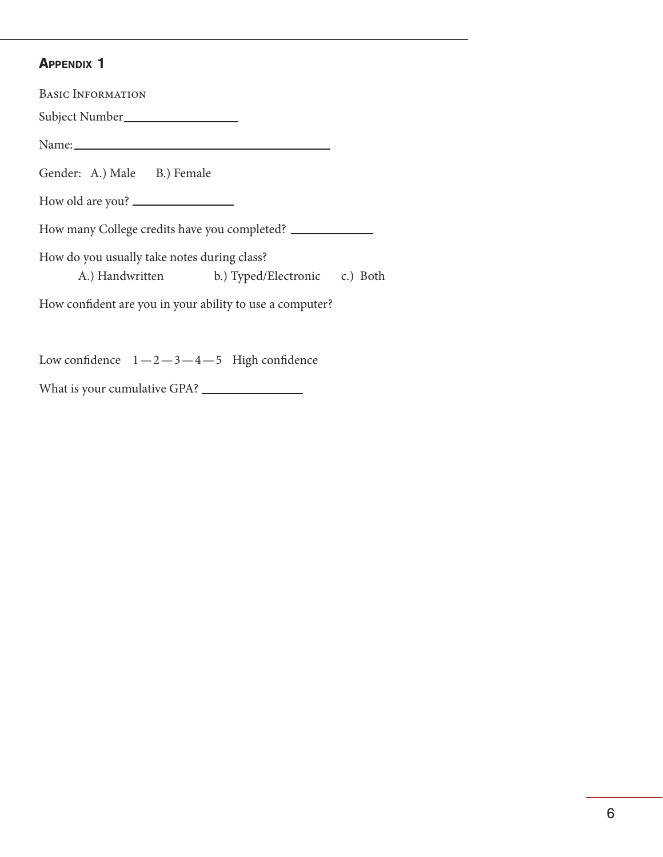#### Appendix 1

Basic Information Subject Number Name: Name: Gender: A.) Male B.) Female How old are you? How many College credits have you completed? \_\_\_\_\_\_\_\_\_\_\_\_\_\_\_\_\_\_\_\_\_\_\_\_\_\_\_\_\_\_\_\_\_\_\_ How do you usually take notes during class? A.) Handwritten b.) Typed/Electronic c.) Both How confident are you in your ability to use a computer? Low confidence  $1-2-3-4-5$  High confidence

What is your cumulative GPA?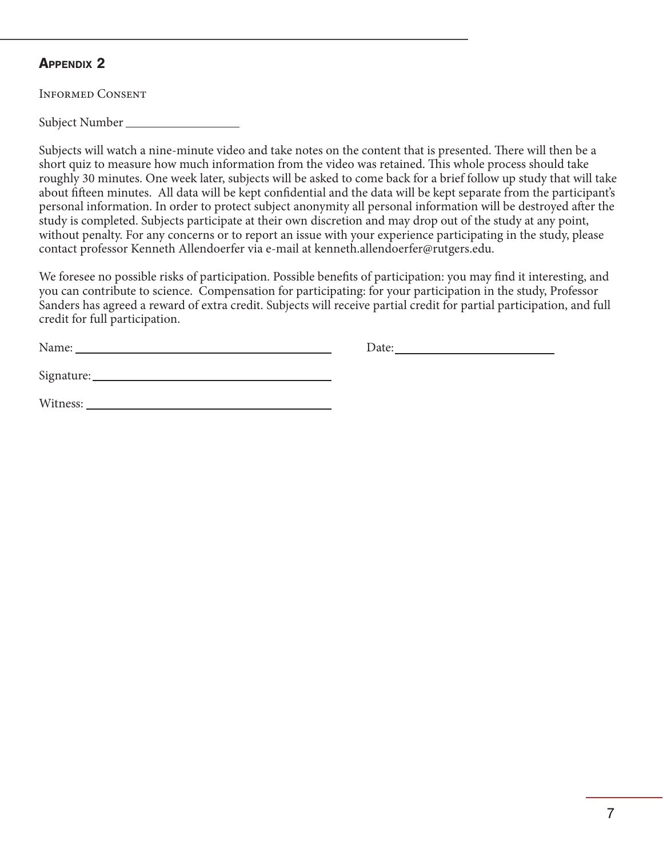Informed Consent

Subject Number

Subjects will watch a nine-minute video and take notes on the content that is presented. There will then be a short quiz to measure how much information from the video was retained. This whole process should take roughly 30 minutes. One week later, subjects will be asked to come back for a brief follow up study that will take about fifteen minutes. All data will be kept confidential and the data will be kept separate from the participant's personal information. In order to protect subject anonymity all personal information will be destroyed after the study is completed. Subjects participate at their own discretion and may drop out of the study at any point, without penalty. For any concerns or to report an issue with your experience participating in the study, please contact professor Kenneth Allendoerfer via e-mail at kenneth.allendoerfer@rutgers.edu.

We foresee no possible risks of participation. Possible benefits of participation: you may find it interesting, and you can contribute to science. Compensation for participating: for your participation in the study, Professor Sanders has agreed a reward of extra credit. Subjects will receive partial credit for partial participation, and full credit for full participation.

| <b>NT</b> | $- - - - - -$ |
|-----------|---------------|
|           |               |

Signature:

Witness: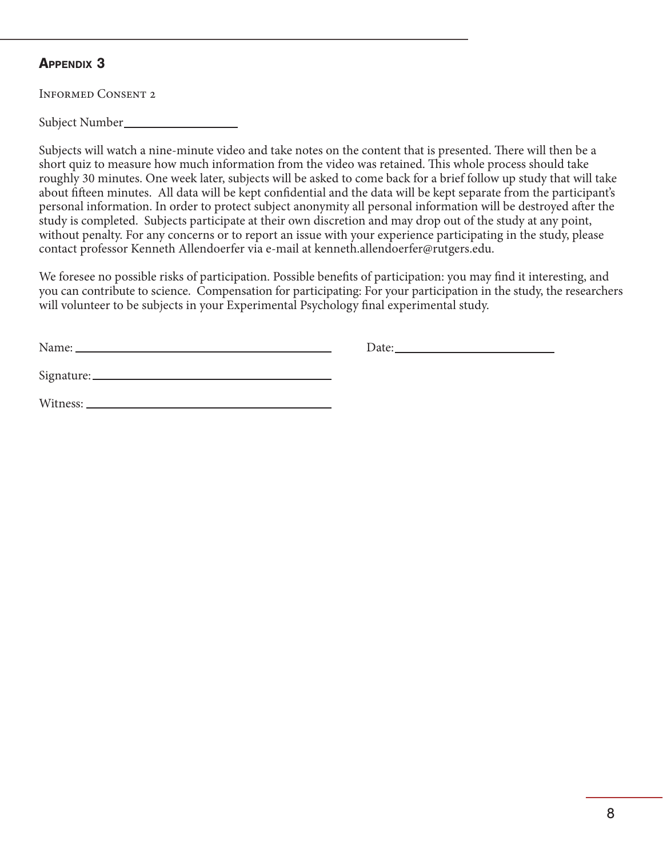Informed Consent 2

Subject Number

Subjects will watch a nine-minute video and take notes on the content that is presented. There will then be a short quiz to measure how much information from the video was retained. This whole process should take roughly 30 minutes. One week later, subjects will be asked to come back for a brief follow up study that will take about fifteen minutes. All data will be kept confidential and the data will be kept separate from the participant's personal information. In order to protect subject anonymity all personal information will be destroyed after the study is completed. Subjects participate at their own discretion and may drop out of the study at any point, without penalty. For any concerns or to report an issue with your experience participating in the study, please contact professor Kenneth Allendoerfer via e-mail at kenneth.allendoerfer@rutgers.edu.

We foresee no possible risks of participation. Possible benefits of participation: you may find it interesting, and you can contribute to science. Compensation for participating: For your participation in the study, the researchers will volunteer to be subjects in your Experimental Psychology final experimental study.

| Name: |  |
|-------|--|
|       |  |

Signature:

Witness: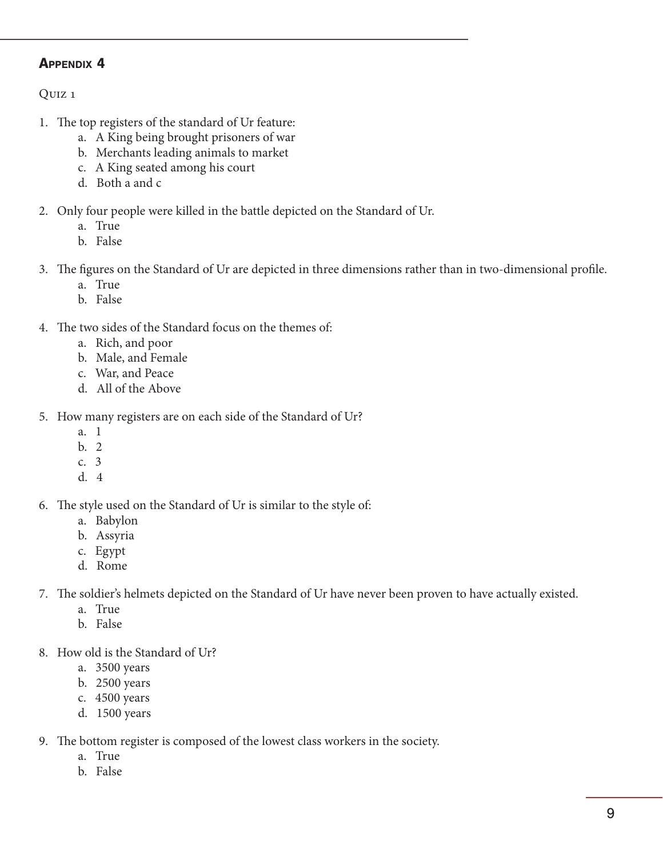Quiz 1

- 1. The top registers of the standard of Ur feature:
	- a. A King being brought prisoners of war
	- b. Merchants leading animals to market
	- c. A King seated among his court
	- d. Both a and c
- 2. Only four people were killed in the battle depicted on the Standard of Ur.
	- a. True
	- b. False
- 3. The figures on the Standard of Ur are depicted in three dimensions rather than in two-dimensional profile.
	- a. True
	- b. False
- 4. The two sides of the Standard focus on the themes of:
	- a. Rich, and poor
	- b. Male, and Female
	- c. War, and Peace
	- d. All of the Above
- 5. How many registers are on each side of the Standard of Ur?
	- a. 1
	- b. 2
	- c. 3
	- d. 4
- 6. The style used on the Standard of Ur is similar to the style of:
	- a. Babylon
	- b. Assyria
	- c. Egypt
	- d. Rome
- 7. The soldier's helmets depicted on the Standard of Ur have never been proven to have actually existed.
	- a. True
	- b. False
- 8. How old is the Standard of Ur?
	- a. 3500 years
	- b. 2500 years
	- c. 4500 years
	- d. 1500 years
- 9. The bottom register is composed of the lowest class workers in the society.
	- a. True
	- b. False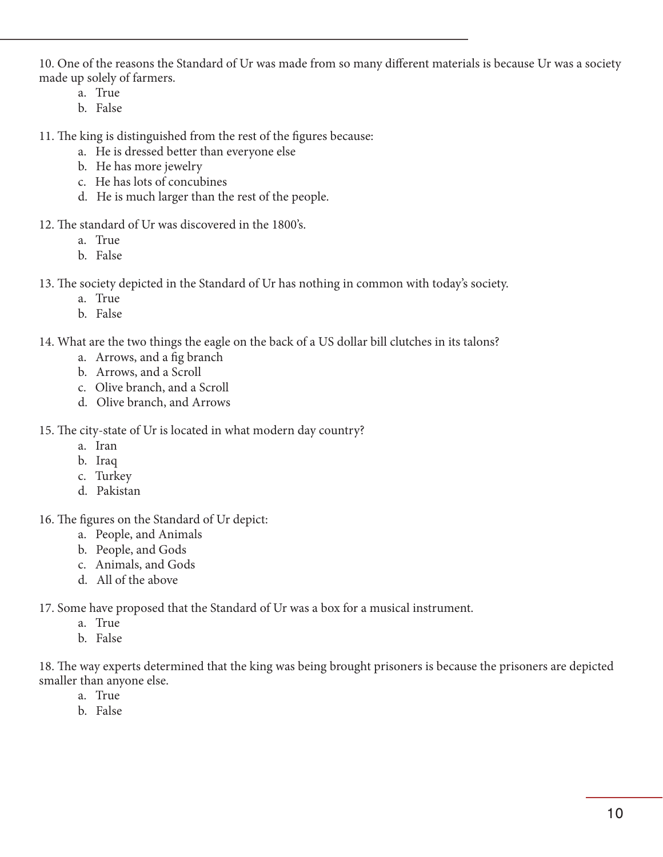10. One of the reasons the Standard of Ur was made from so many different materials is because Ur was a society made up solely of farmers.

- a. True
- b. False

11. The king is distinguished from the rest of the figures because:

- a. He is dressed better than everyone else
- b. He has more jewelry
- c. He has lots of concubines
- d. He is much larger than the rest of the people.
- 12. The standard of Ur was discovered in the 1800's.
	- a. True
	- b. False
- 13. The society depicted in the Standard of Ur has nothing in common with today's society.
	- a. True
	- b. False
- 14. What are the two things the eagle on the back of a US dollar bill clutches in its talons?
	- a. Arrows, and a fig branch
	- b. Arrows, and a Scroll
	- c. Olive branch, and a Scroll
	- d. Olive branch, and Arrows

15. The city-state of Ur is located in what modern day country?

- a. Iran
- b. Iraq
- c. Turkey
- d. Pakistan

16. The figures on the Standard of Ur depict:

- a. People, and Animals
- b. People, and Gods
- c. Animals, and Gods
- d. All of the above

17. Some have proposed that the Standard of Ur was a box for a musical instrument.

- a. True
- b. False

18. The way experts determined that the king was being brought prisoners is because the prisoners are depicted smaller than anyone else.

- a. True
- b. False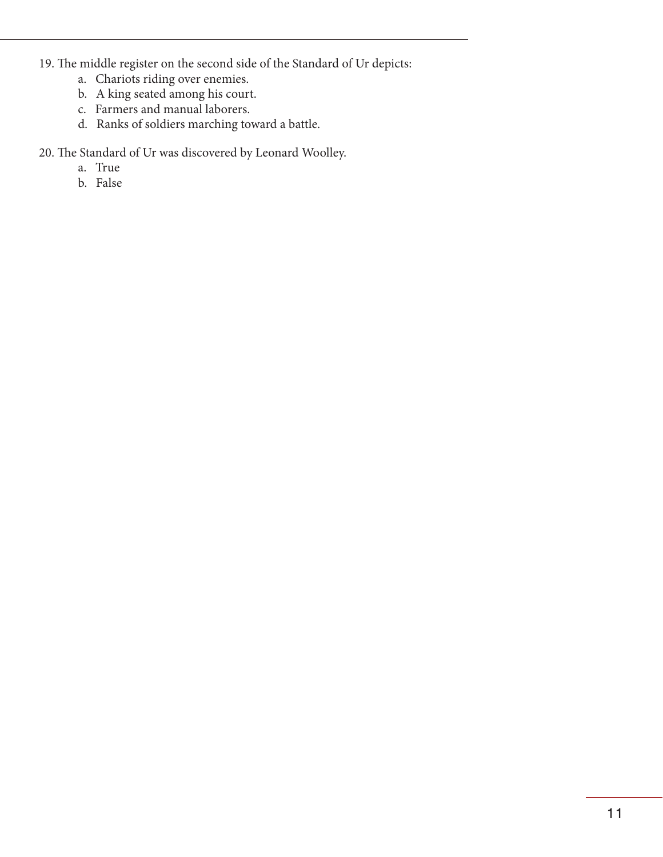- 19. The middle register on the second side of the Standard of Ur depicts:
	- a. Chariots riding over enemies.
	- b. A king seated among his court.
	- c. Farmers and manual laborers.
	- d. Ranks of soldiers marching toward a battle.

20. The Standard of Ur was discovered by Leonard Woolley.

- a. True
- b. False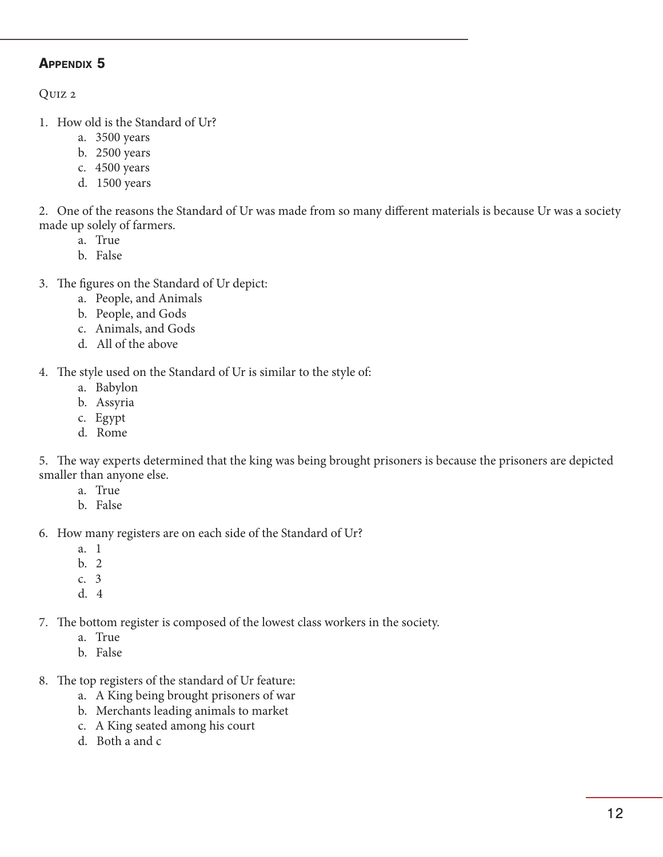Quiz 2

- 1. How old is the Standard of Ur?
	- a. 3500 years
	- b. 2500 years
	- c. 4500 years
	- d. 1500 years

2. One of the reasons the Standard of Ur was made from so many different materials is because Ur was a society made up solely of farmers.

- a. True
- b. False
- 3. The figures on the Standard of Ur depict:
	- a. People, and Animals
	- b. People, and Gods
	- c. Animals, and Gods
	- d. All of the above

4. The style used on the Standard of Ur is similar to the style of:

- a. Babylon
- b. Assyria
- c. Egypt
- d. Rome

5. The way experts determined that the king was being brought prisoners is because the prisoners are depicted smaller than anyone else.

- a. True
- b. False

6. How many registers are on each side of the Standard of Ur?

- a. 1
- b. 2
- c. 3
- d. 4
- 7. The bottom register is composed of the lowest class workers in the society.
	- a. True
	- b. False
- 8. The top registers of the standard of Ur feature:
	- a. A King being brought prisoners of war
	- b. Merchants leading animals to market
	- c. A King seated among his court
	- d. Both a and c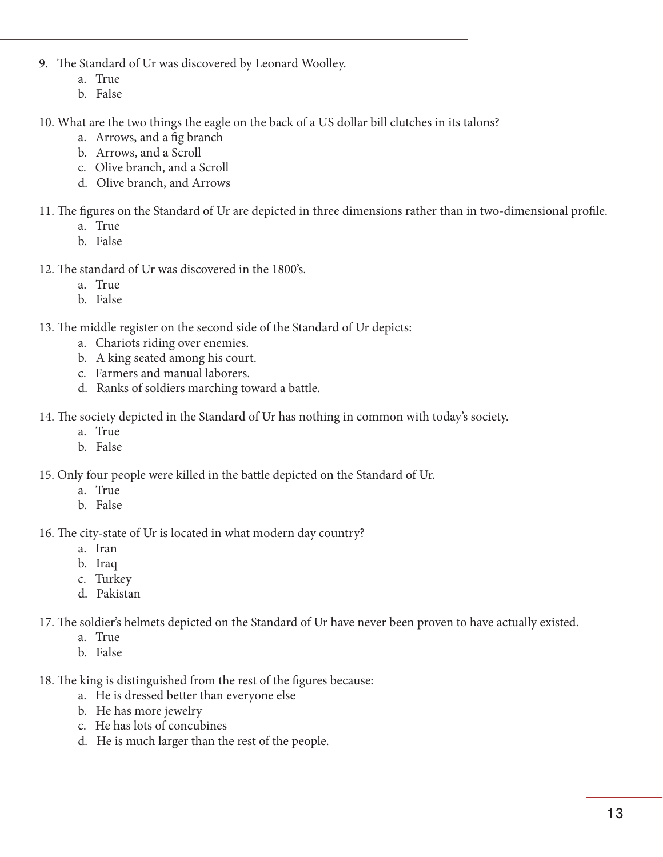- 9. The Standard of Ur was discovered by Leonard Woolley.
	- a. True
	- b. False
- 10. What are the two things the eagle on the back of a US dollar bill clutches in its talons?
	- a. Arrows, and a fig branch
	- b. Arrows, and a Scroll
	- c. Olive branch, and a Scroll
	- d. Olive branch, and Arrows
- 11. The figures on the Standard of Ur are depicted in three dimensions rather than in two-dimensional profile.
	- a. True
	- b. False
- 12. The standard of Ur was discovered in the 1800's.
	- a. True
	- b. False

13. The middle register on the second side of the Standard of Ur depicts:

- a. Chariots riding over enemies.
- b. A king seated among his court.
- c. Farmers and manual laborers.
- d. Ranks of soldiers marching toward a battle.

14. The society depicted in the Standard of Ur has nothing in common with today's society.

- a. True
- b. False
- 15. Only four people were killed in the battle depicted on the Standard of Ur.
	- a. True
	- b. False

16. The city-state of Ur is located in what modern day country?

- a. Iran
- b. Iraq
- c. Turkey
- d. Pakistan

17. The soldier's helmets depicted on the Standard of Ur have never been proven to have actually existed.

- a. True
- b. False
- 18. The king is distinguished from the rest of the figures because:
	- a. He is dressed better than everyone else
	- b. He has more jewelry
	- c. He has lots of concubines
	- d. He is much larger than the rest of the people.